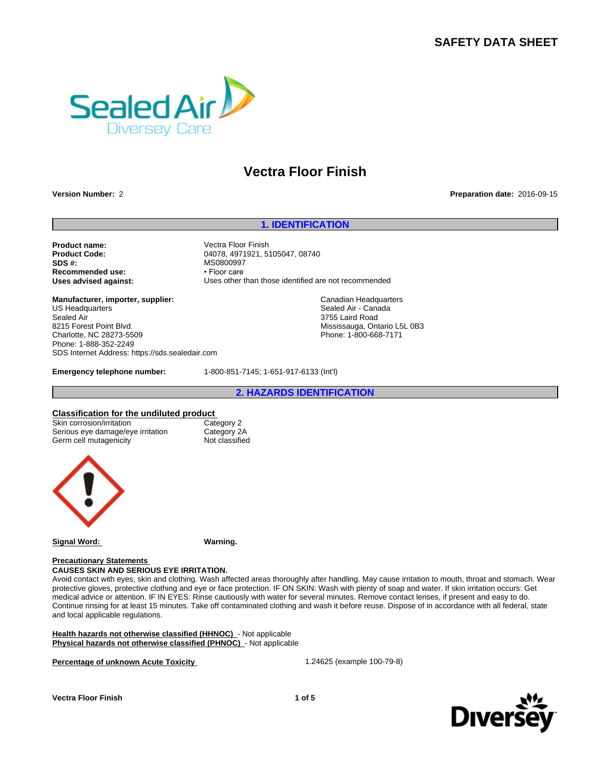# **SAFETY DATA SHEET**



# **Vectra Floor Finish**

### **Version Number:** 2 **Preparation date:** 2016-09-15

### **1. IDENTIFICATION**

**Product name:** Vectra Floor Finish<br> **Product Code:** (1999) 04078.4971921.5 **SDS #:** MS0800997<br> **Recommended use:** The example of the example of the example of the example of the example of the example of the example of the example of the example of the example of the example of the example of the **Recommended use:** 

**Product Code:** 04078, 4971921, 5105047, 08740 **Uses advised against:** Uses other than those identified are not recommended

> Canadian Headquarters Sealed Air - Canada 3755 Laird Road

Mississauga, Ontario L5L 0B3 Phone: 1-800-668-7171

**Manufacturer, importer, supplier:** US Headquarters Sealed Air 8215 Forest Point Blvd. Charlotte, NC 28273-5509 Phone: 1-888-352-2249 SDS Internet Address: https://sds.sealedair.com

**Emergency telephone number:** 1-800-851-7145; 1-651-917-6133 (Int'l)

**2. HAZARDS IDENTIFICATION**

**Classification for the undiluted product** Skin corrosion/irritation Category 2<br>
Serious eye damage/eye irritation Category 2A Serious eye damage/eye irritation Category 2A<br>
Germ cell mutagenicity Cassified Germ cell mutagenicity



**Signal Word: Warning.**

### **Precautionary Statements**

**CAUSES SKIN AND SERIOUS EYE IRRITATION.** Avoid contact with eyes, skin and clothing. Wash affected areas thoroughly after handling. May cause irritation to mouth, throat and stomach. Wear protective gloves, protective clothing and eye or face protection. IF ON SKIN: Wash with plenty of soap and water. If skin irritation occurs: Get medical advice or attention. IF IN EYES: Rinse cautiously with water for several minutes. Remove contact lenses, if present and easy to do. Continue rinsing for at least 15 minutes. Take off contaminated clothing and wash it before reuse. Dispose of in accordance with all federal, state and local applicable regulations.

**Health hazards not otherwise classified (HHNOC)** - Not applicable **Physical hazards not otherwise classified (PHNOC)** - Not applicable

**Percentage of unknown Acute Toxicity** 1.24625 (example 100-79-8)



**Vectra Floor Finish 1 of 5**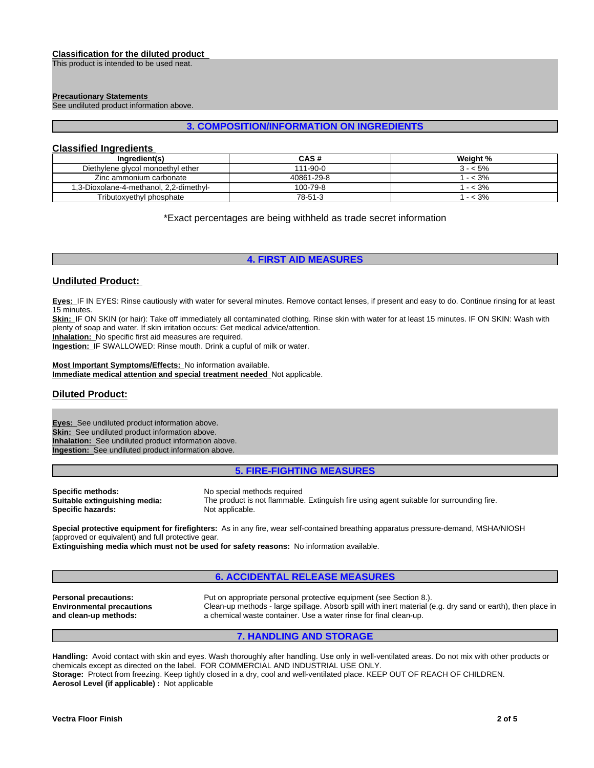### **Classification for the diluted product**

This product is intended to be used neat.

### **Precautionary Statements**

See undiluted product information above.

### **3. COMPOSITION/INFORMATION ON INGREDIENTS**

## **Classified Ingredients**

| Ingredient(s)                           | <b>CAS#</b> | Weight %  |
|-----------------------------------------|-------------|-----------|
| Diethylene glycol monoethyl ether       | 111-90-0    | 3 - < 5%  |
| Zinc ammonium carbonate                 | 40861-29-8  | $- < 3\%$ |
| 1,3-Dioxolane-4-methanol, 2,2-dimethyl- | 100-79-8    | $- < 3\%$ |
| Tributoxyethyl phosphate                | 78-51-3     | $- < 3\%$ |

\*Exact percentages are being withheld as trade secret information

# **4. FIRST AID MEASURES**

### **Undiluted Product:**

**Eyes:** IF IN EYES: Rinse cautiously with water for several minutes. Remove contact lenses, if present and easy to do. Continue rinsing for at least 15 minutes.

**Skin:** IF ON SKIN (or hair): Take off immediately all contaminated clothing. Rinse skin with water for at least 15 minutes. IF ON SKIN: Wash with plenty of soap and water. If skin irritation occurs: Get medical advice/attention.

**Inhalation:** No specific first aid measures are required.

**Ingestion:** IF SWALLOWED: Rinse mouth. Drink a cupful of milk or water.

**Most Important Symptoms/Effects:** No information available. **Immediate medical attention and special treatment needed** Not applicable.

# **Diluted Product:**

**Eyes:** See undiluted product information above. **Skin:** See undiluted product information above. **Inhalation:** See undiluted product information above. **Ingestion:** See undiluted product information above.

### **5. FIRE-FIGHTING MEASURES**

**Specific methods:** No special methods required<br> **Suitable extinguishing media:** The product is not flammable **Specific hazards:** 

The product is not flammable. Extinguish fire using agent suitable for surrounding fire.<br>Not applicable.

**Special protective equipment for firefighters:** As in any fire, wear self-contained breathing apparatus pressure-demand, MSHA/NIOSH (approved or equivalent) and full protective gear.

**Extinguishing media which must not be used for safety reasons:** No information available.

# **6. ACCIDENTAL RELEASE MEASURES**

**Environmental precautions and clean-up methods:**

**Personal precautions:** Put on appropriate personal protective equipment (see Section 8.). Clean-up methods - large spillage. Absorb spill with inert material (e.g. dry sand or earth), then place in a chemical waste container. Use a water rinse for final clean-up.

# **7. HANDLING AND STORAGE**

**Handling:** Avoid contact with skin and eyes. Wash thoroughly after handling. Use only in well-ventilated areas. Do not mix with other products or chemicals except as directed on the label. FOR COMMERCIAL AND INDUSTRIAL USE ONLY. **Storage:** Protect from freezing. Keep tightly closed in a dry, cool and well-ventilated place. KEEP OUT OF REACH OF CHILDREN. **Aerosol Level (if applicable) :** Not applicable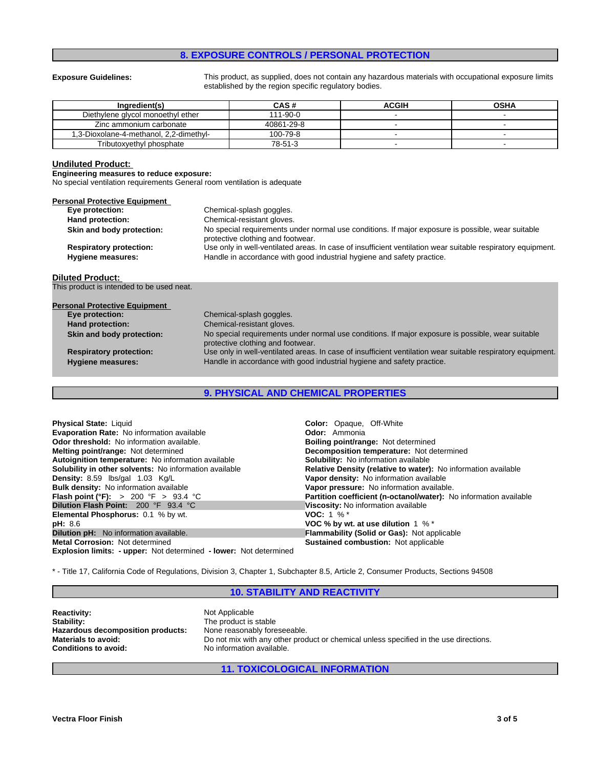# **8. EXPOSURE CONTROLS / PERSONAL PROTECTION**

**Exposure Guidelines:** This product, as supplied, does not contain any hazardous materials with occupational exposure limits established by the region specific regulatory bodies.

| Inaredient(s)                           | CAS #      | <b>ACGIH</b> | <b>OSHA</b> |
|-----------------------------------------|------------|--------------|-------------|
| Diethylene glycol monoethyl ether       | 111-90-0   |              |             |
| Zinc ammonium carbonate                 | 40861-29-8 |              |             |
| 1,3-Dioxolane-4-methanol, 2,2-dimethyl- | 100-79-8   |              |             |
| Tributoxvethyl phosphate                | 78-51-3    |              |             |

# **Undiluted Product:**

**Engineering measures to reduce exposure:**

No special ventilation requirements General room ventilation is adequate

| <b>Personal Protective Equipment</b><br>Eye protection: | Chemical-splash goggles.                                                                                                               |
|---------------------------------------------------------|----------------------------------------------------------------------------------------------------------------------------------------|
|                                                         |                                                                                                                                        |
| Hand protection:                                        | Chemical-resistant gloves.                                                                                                             |
| Skin and body protection:                               | No special requirements under normal use conditions. If major exposure is possible, wear suitable<br>protective clothing and footwear. |
| <b>Respiratory protection:</b>                          | Use only in well-ventilated areas. In case of insufficient ventilation wear suitable respiratory equipment.                            |
| <b>Hygiene measures:</b>                                | Handle in accordance with good industrial hygiene and safety practice.                                                                 |
|                                                         |                                                                                                                                        |
| <b>Diluted Product:</b>                                 |                                                                                                                                        |
| This product is intended to be used neat.               |                                                                                                                                        |
| <b>Personal Protective Equipment</b>                    |                                                                                                                                        |
| Eye protection:                                         | Chemical-splash goggles.                                                                                                               |
| <b>Hand protection:</b>                                 | Chemical-resistant gloves.                                                                                                             |
| Skin and body protection:                               | No special requirements under normal use conditions. If major exposure is possible, wear suitable                                      |
|                                                         | protective clothing and footwear.                                                                                                      |
| <b>Respiratory protection:</b>                          | Use only in well-ventilated areas. In case of insufficient ventilation wear suitable respiratory equipment.                            |
| <b>Hygiene measures:</b>                                | Handle in accordance with good industrial hygiene and safety practice.                                                                 |
|                                                         |                                                                                                                                        |

# **9. PHYSICAL AND CHEMICAL PROPERTIES**

| <b>Physical State: Liquid</b>                                     | <b>Color:</b> Opaque, Off-White                                   |
|-------------------------------------------------------------------|-------------------------------------------------------------------|
| <b>Evaporation Rate:</b> No information available                 | <b>Odor:</b> Ammonia                                              |
| <b>Odor threshold:</b> No information available.                  | <b>Boiling point/range: Not determined</b>                        |
| Melting point/range: Not determined                               | <b>Decomposition temperature:</b> Not determined                  |
| Autoignition temperature: No information available                | <b>Solubility:</b> No information available                       |
| Solubility in other solvents: No information available            | Relative Density (relative to water): No information available    |
| Density: 8.59 lbs/gal 1.03 Kg/L                                   | Vapor density: No information available                           |
| Bulk density: No information available                            | Vapor pressure: No information available.                         |
| <b>Flash point (°F):</b> > 200 °F > 93.4 °C                       | Partition coefficient (n-octanol/water): No information available |
| <b>Dilution Flash Point: 200 °F 93.4 °C</b>                       | Viscosity: No information available                               |
| <b>Elemental Phosphorus: 0.1 % by wt.</b>                         | <b>VOC:</b> 1 $\%$ *                                              |
| <b>pH:</b> 8.6                                                    | VOC % by wt. at use dilution $1\%$ *                              |
| <b>Dilution pH:</b> No information available.                     | <b>Flammability (Solid or Gas): Not applicable</b>                |
| <b>Metal Corrosion: Not determined</b>                            | <b>Sustained combustion: Not applicable</b>                       |
| Explosion limits: - upper: Not determined - lower: Not determined |                                                                   |

\* - Title 17, California Code of Regulations, Division 3, Chapter 1, Subchapter 8.5, Article 2, Consumer Products, Sections 94508

# **10. STABILITY AND REACTIVITY**

**Reactivity:** Not Applicable<br> **Stability:** The product is Hazardous decomposition products:<br>Materials to avoid:

The product is stable<br>None reasonably foreseeable. **Materials to avoid:** Do not mix with any other product or chemical unless specified in the use directions.<br> **Conditions to avoid:** No information available. No information available.

### **11. TOXICOLOGICAL INFORMATION**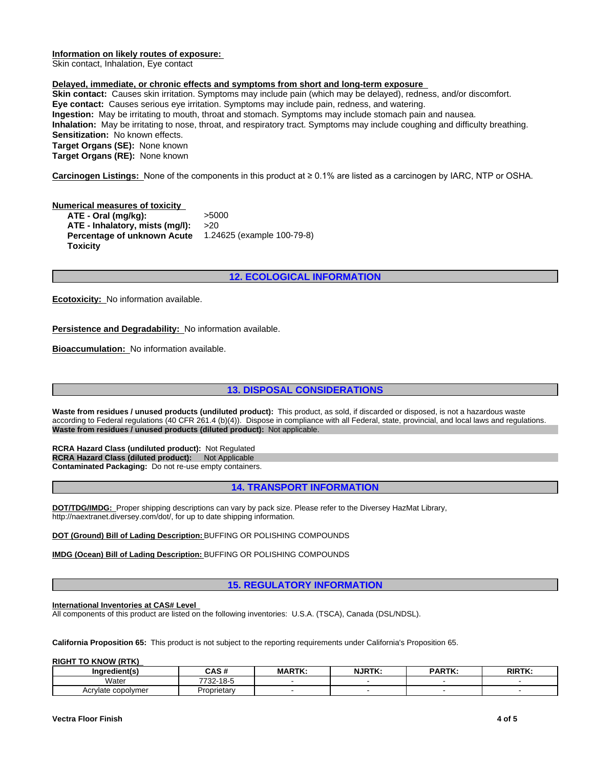### **Information on likely routes of exposure:**

Skin contact, Inhalation, Eye contact

### **Delayed, immediate, or chronic effects and symptoms from short and long-term exposure**

**Skin contact:** Causes skin irritation. Symptoms may include pain (which may be delayed), redness, and/or discomfort. **Eye contact:** Causes serious eye irritation. Symptoms may include pain, redness, and watering. **Ingestion:** May be irritating to mouth, throat and stomach. Symptoms may include stomach pain and nausea. **Inhalation:** May be irritating to nose, throat, and respiratory tract. Symptoms may include coughing and difficulty breathing. **Sensitization:** No known effects. **Target Organs (SE):** None known **Target Organs (RE):** None known

**Carcinogen Listings:** Noneofthecomponentsinthisproductat≥0.1%arelistedasacarcinogenbyIARC,NTPorOSHA.

**Numerical measures of toxicity ATE - Oral (mg/kg):** >5000 **ATE - Inhalatory, mists (mg/l):** >20 **Percentage of unknown Acute Toxicity** 1.24625 (example 100-79-8)

# **12. ECOLOGICAL INFORMATION**

**Ecotoxicity:** No information available.

**Persistence and Degradability:** No information available.

**Bioaccumulation:** No information available.

### **13. DISPOSAL CONSIDERATIONS**

**Waste from residues / unused products (undiluted product):** This product, as sold, if discarded or disposed, is not a hazardous waste according to Federal regulations (40 CFR 261.4 (b)(4)). Dispose in compliance with all Federal, state, provincial, and local laws and regulations. **Waste from residues / unused products (diluted product):** Not applicable.

**RCRA Hazard Class (undiluted product):** Not Regulated **RCRA Hazard Class (diluted product):** Not Applicable **Contaminated Packaging:** Do not re-use empty containers.

### **14. TRANSPORT INFORMATION**

**DOT/TDG/IMDG:** Proper shipping descriptions can vary by pack size. Please refer to the Diversey HazMat Library, http://naextranet.diversey.com/dot/, for up to date shipping information.

**DOT (Ground) Bill of Lading Description:** BUFFING OR POLISHING COMPOUNDS

**IMDG (Ocean) Bill of Lading Description:** BUFFING OR POLISHING COMPOUNDS

**15. REGULATORY INFORMATION**

**International Inventories at CAS# Level** 

All components of this product are listed on the following inventories: U.S.A. (TSCA), Canada (DSL/NDSL).

**California Proposition 65:** This product is not subject to the reporting requirements under California's Proposition 65.

**RIGHT TO KNOW (RTK)** 

| Ingredient(s)                         | CAC<br>しハー              | MADTK<br>. | <b>NJRTK</b> | <b>DADTK</b><br>ın. | <b>RIRTK</b><br>. |
|---------------------------------------|-------------------------|------------|--------------|---------------------|-------------------|
| Water                                 | 4 O E<br>הרידי<br>-22 - |            |              |                     |                   |
| : copolvmeı<br>$\Lambda$ $\sim$<br>ער | Proprietary             |            |              |                     |                   |